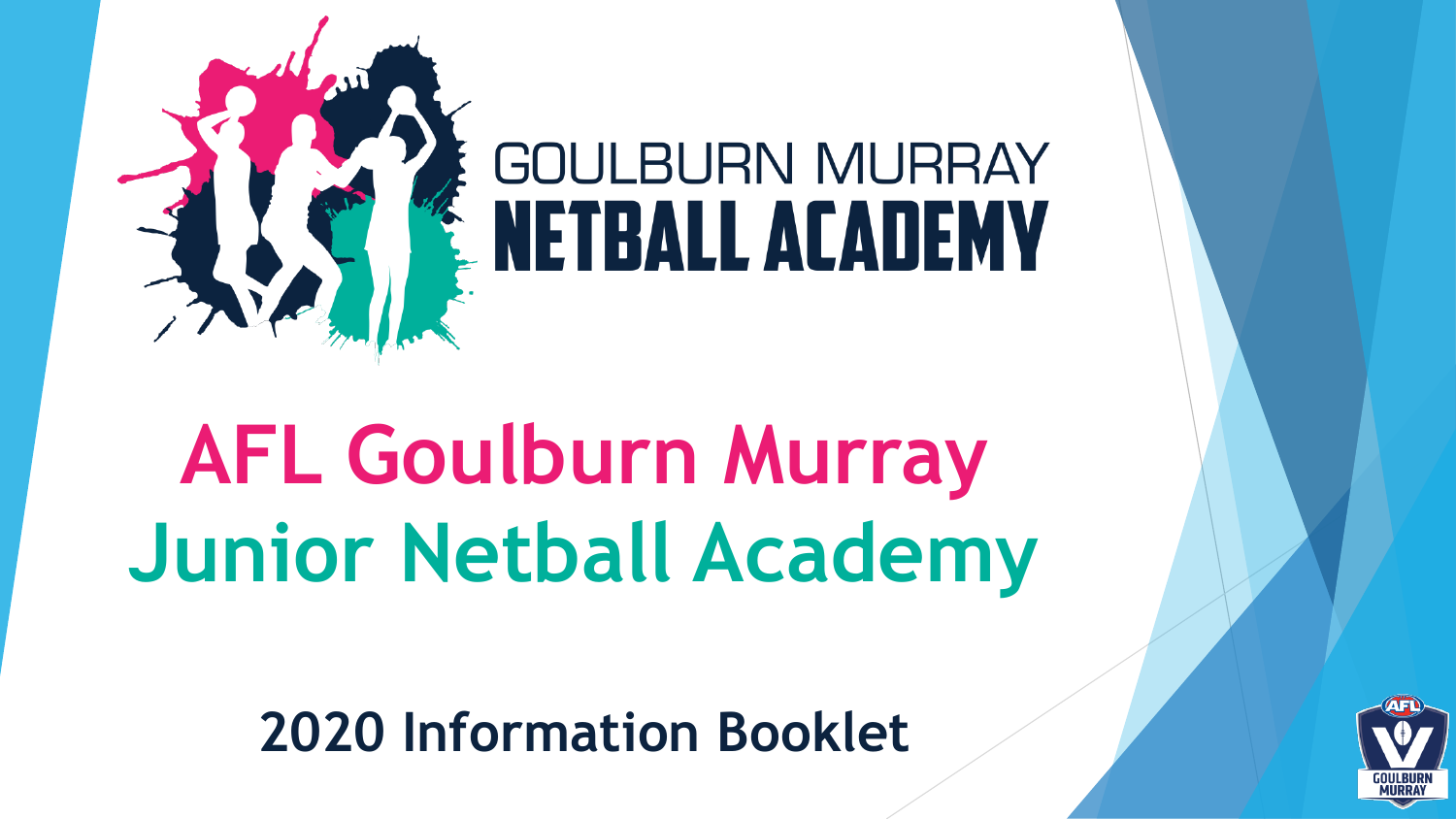

# **AFL Goulburn Murray Junior Netball Academy**

**2020 Information Booklet**

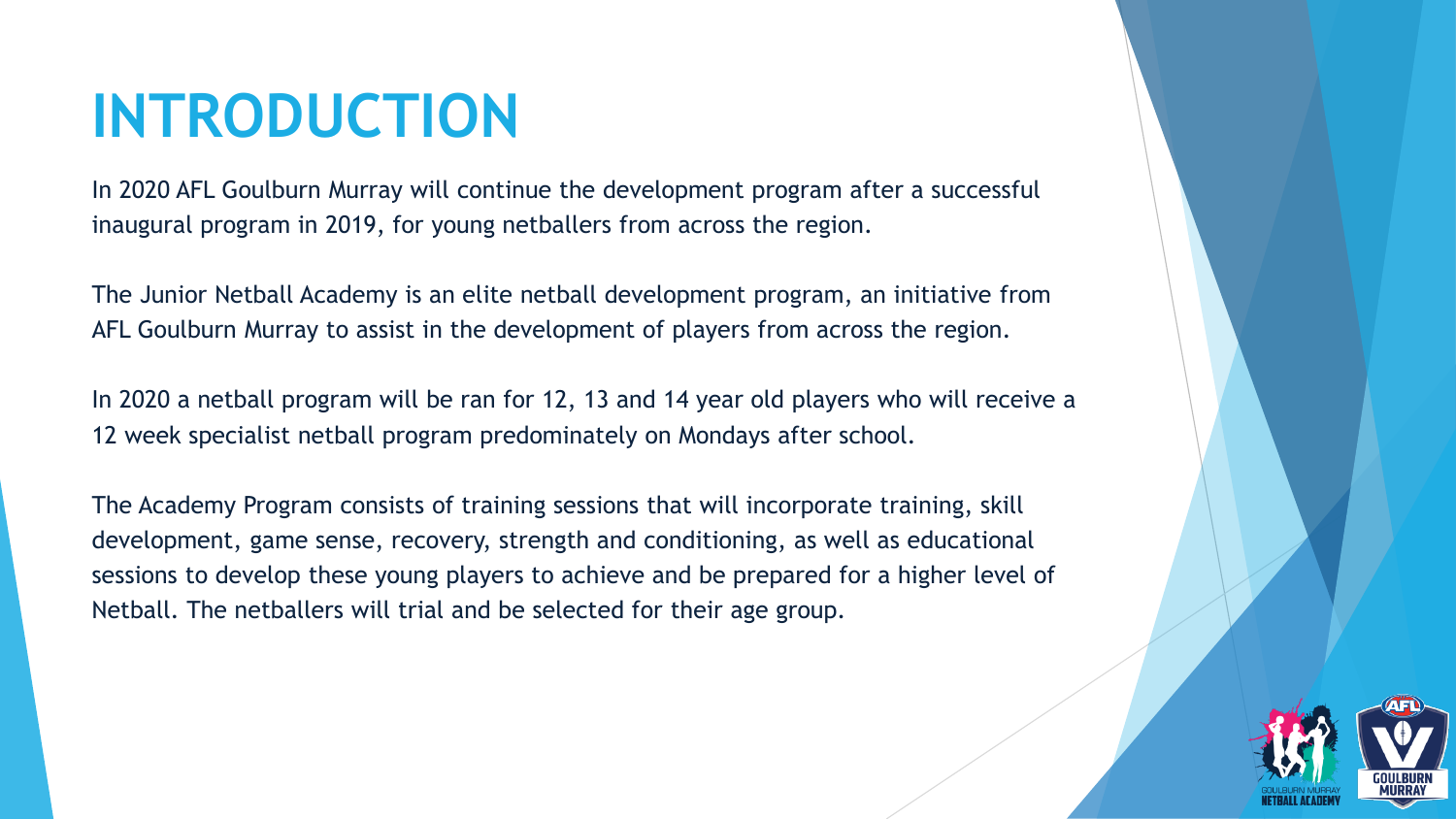### **INTRODUCTION**

In 2020 AFL Goulburn Murray will continue the development program after a successful inaugural program in 2019, for young netballers from across the region.

The Junior Netball Academy is an elite netball development program, an initiative from AFL Goulburn Murray to assist in the development of players from across the region.

In 2020 a netball program will be ran for 12, 13 and 14 year old players who will receive a 12 week specialist netball program predominately on Mondays after school.

The Academy Program consists of training sessions that will incorporate training, skill development, game sense, recovery, strength and conditioning, as well as educational sessions to develop these young players to achieve and be prepared for a higher level of Netball. The netballers will trial and be selected for their age group.

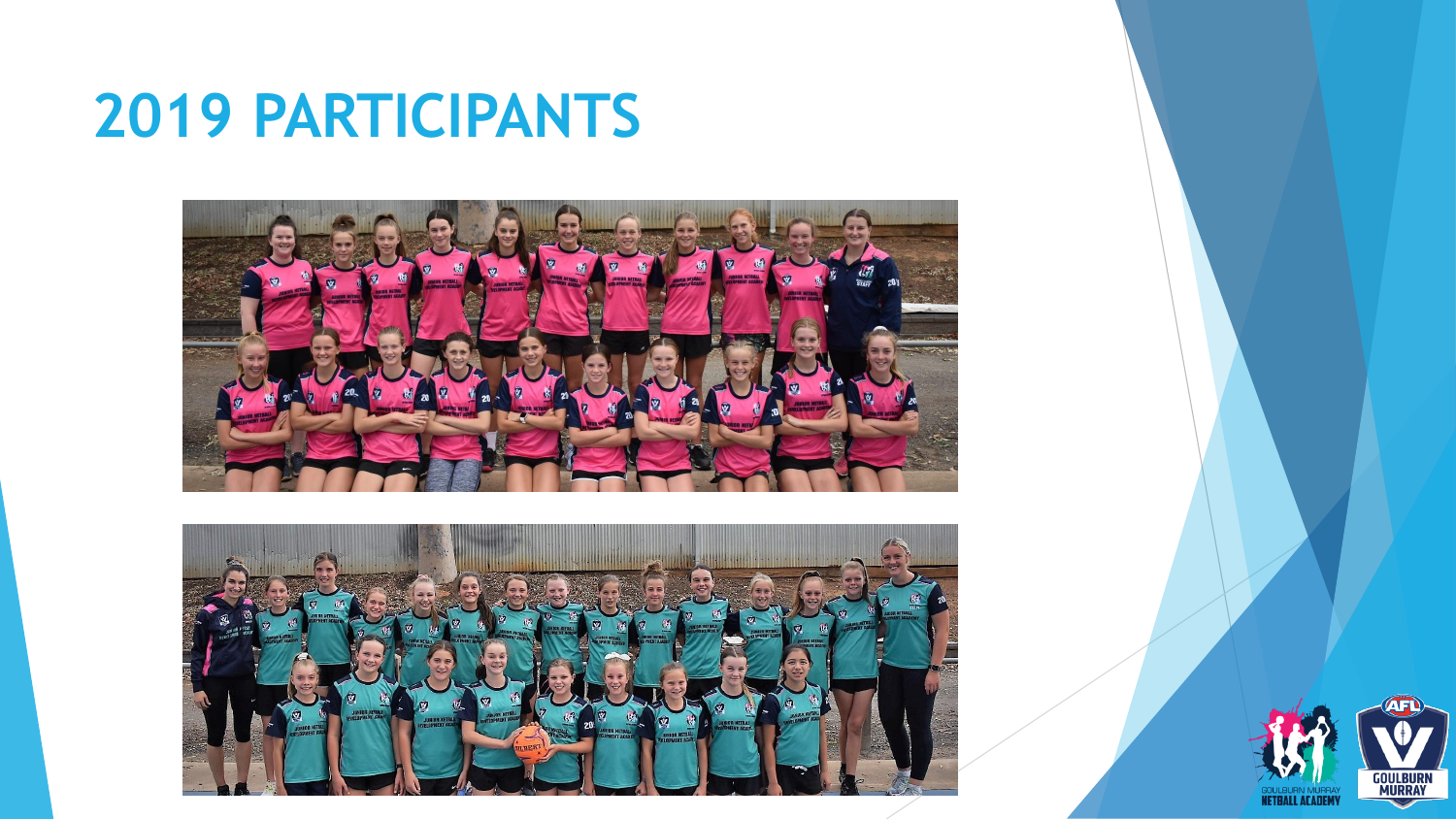### **2019 PARTICIPANTS**





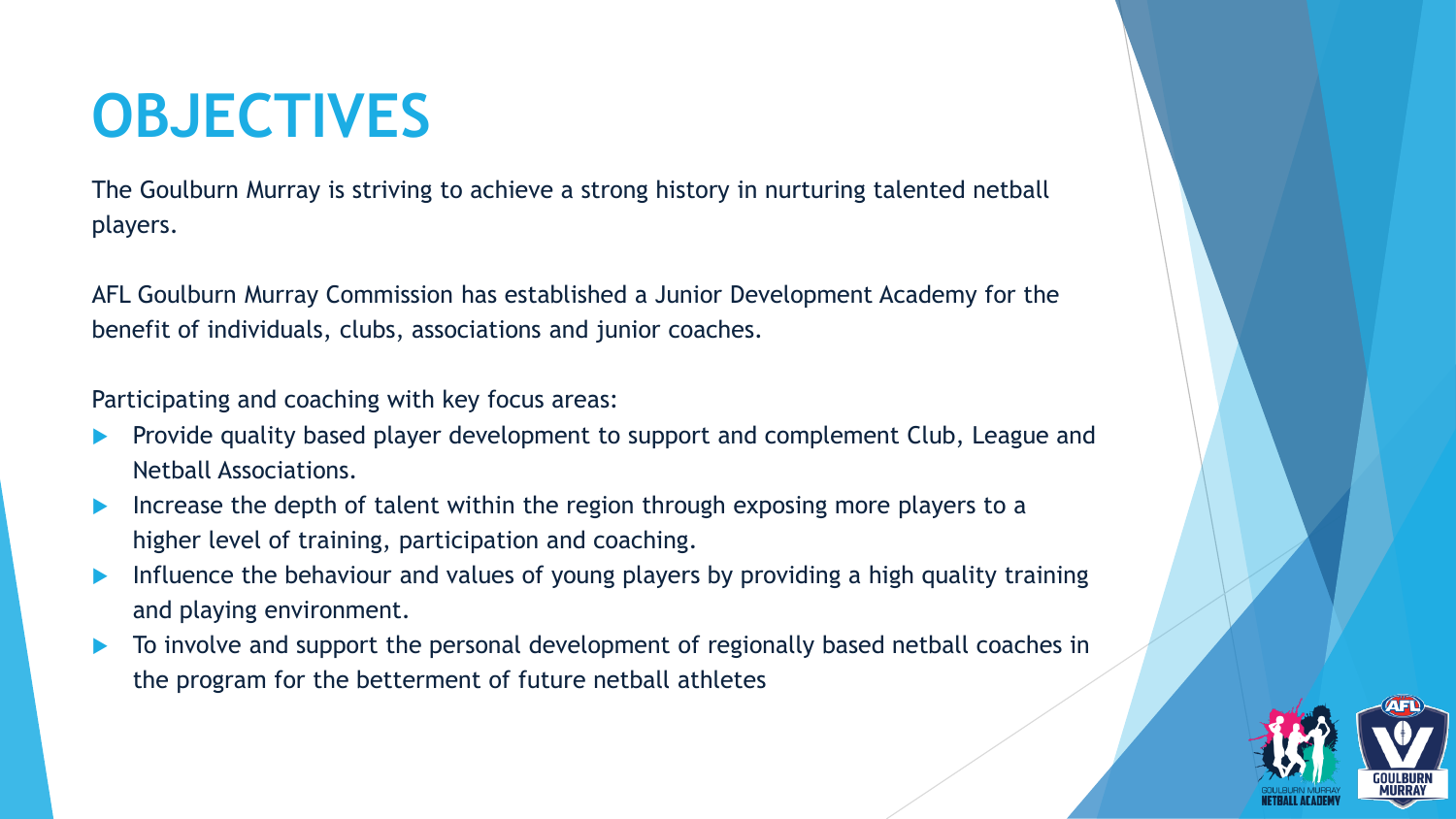### **OBJECTIVES**

The Goulburn Murray is striving to achieve a strong history in nurturing talented netball players.

AFL Goulburn Murray Commission has established a Junior Development Academy for the benefit of individuals, clubs, associations and junior coaches.

Participating and coaching with key focus areas:

- Provide quality based player development to support and complement Club, League and Netball Associations.
- Increase the depth of talent within the region through exposing more players to a higher level of training, participation and coaching.
- Influence the behaviour and values of young players by providing a high quality training and playing environment.
- To involve and support the personal development of regionally based netball coaches in the program for the betterment of future netball athletes

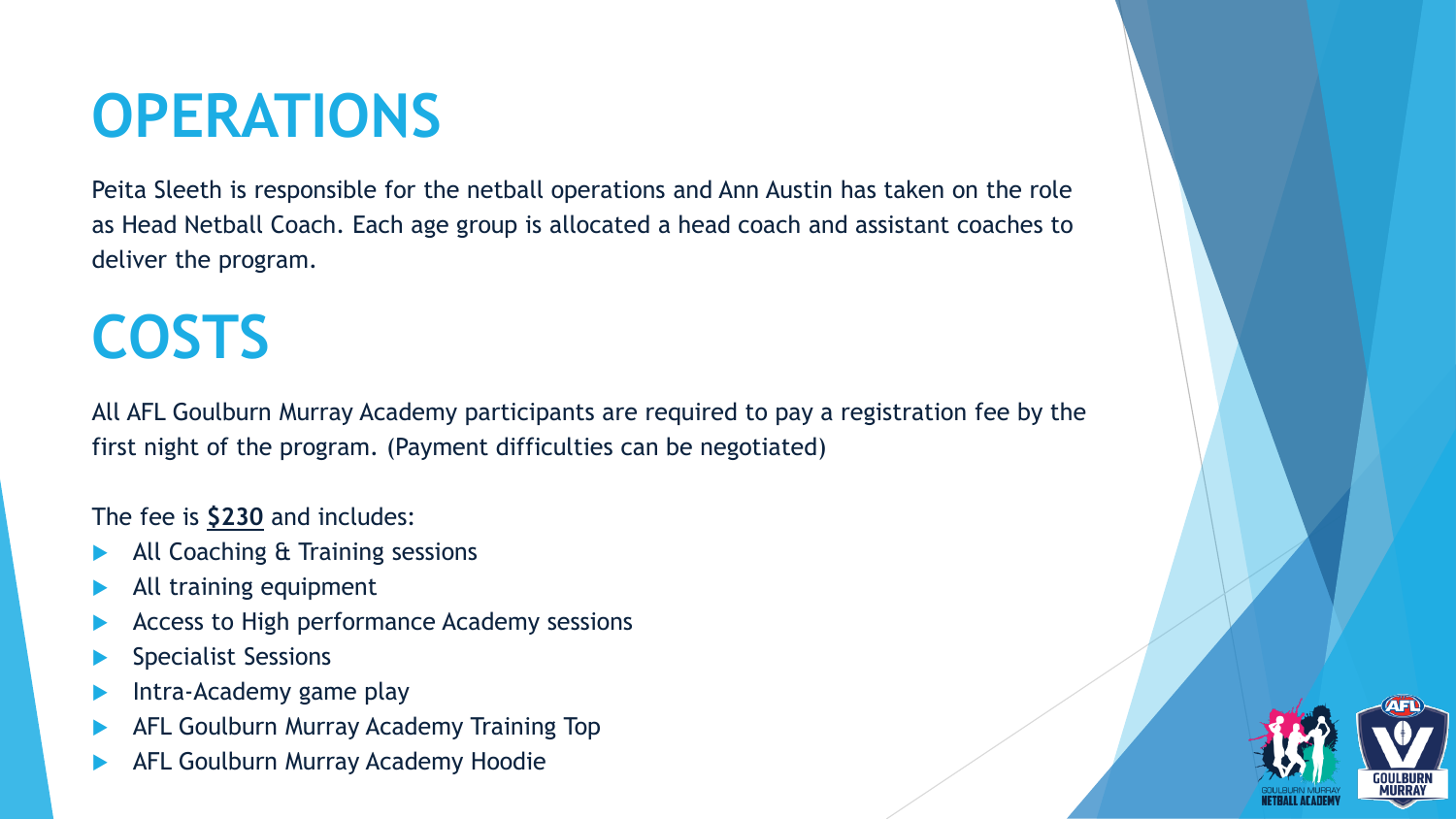### **OPERATIONS**

Peita Sleeth is responsible for the netball operations and Ann Austin has taken on the role as Head Netball Coach. Each age group is allocated a head coach and assistant coaches to deliver the program.

### **COSTS**

All AFL Goulburn Murray Academy participants are required to pay a registration fee by the first night of the program. (Payment difficulties can be negotiated)

#### The fee is **\$230** and includes:

- All Coaching & Training sessions
- All training equipment
- Access to High performance Academy sessions
- Specialist Sessions
- Intra-Academy game play
- AFL Goulburn Murray Academy Training Top
- AFL Goulburn Murray Academy Hoodie

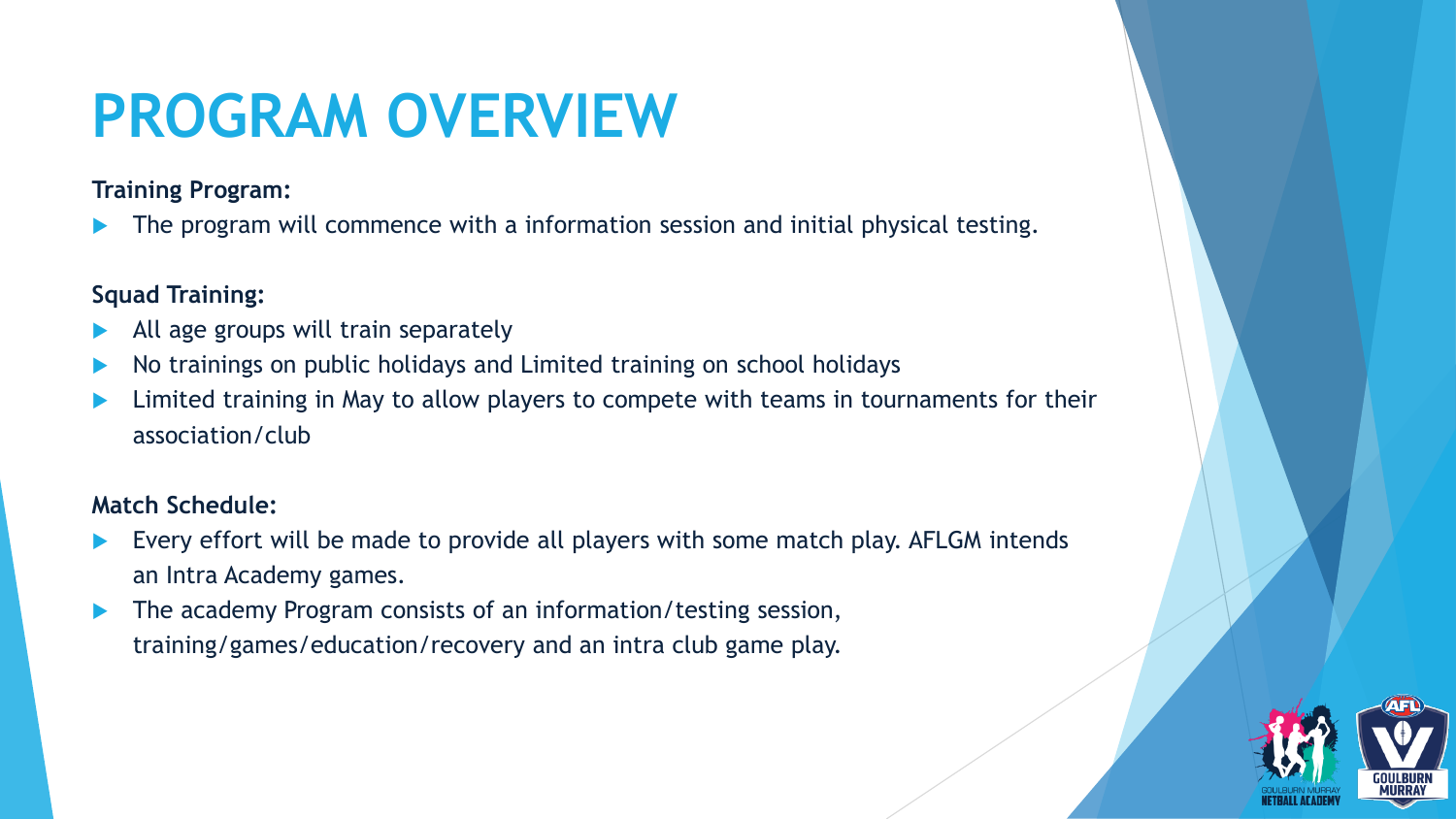## **PROGRAM OVERVIEW**

**Training Program:**

The program will commence with a information session and initial physical testing.

#### **Squad Training:**

- All age groups will train separately
- No trainings on public holidays and Limited training on school holidays
- Limited training in May to allow players to compete with teams in tournaments for their association/club

#### **Match Schedule:**

- Every effort will be made to provide all players with some match play. AFLGM intends an Intra Academy games.
- The academy Program consists of an information/testing session, training/games/education/recovery and an intra club game play.

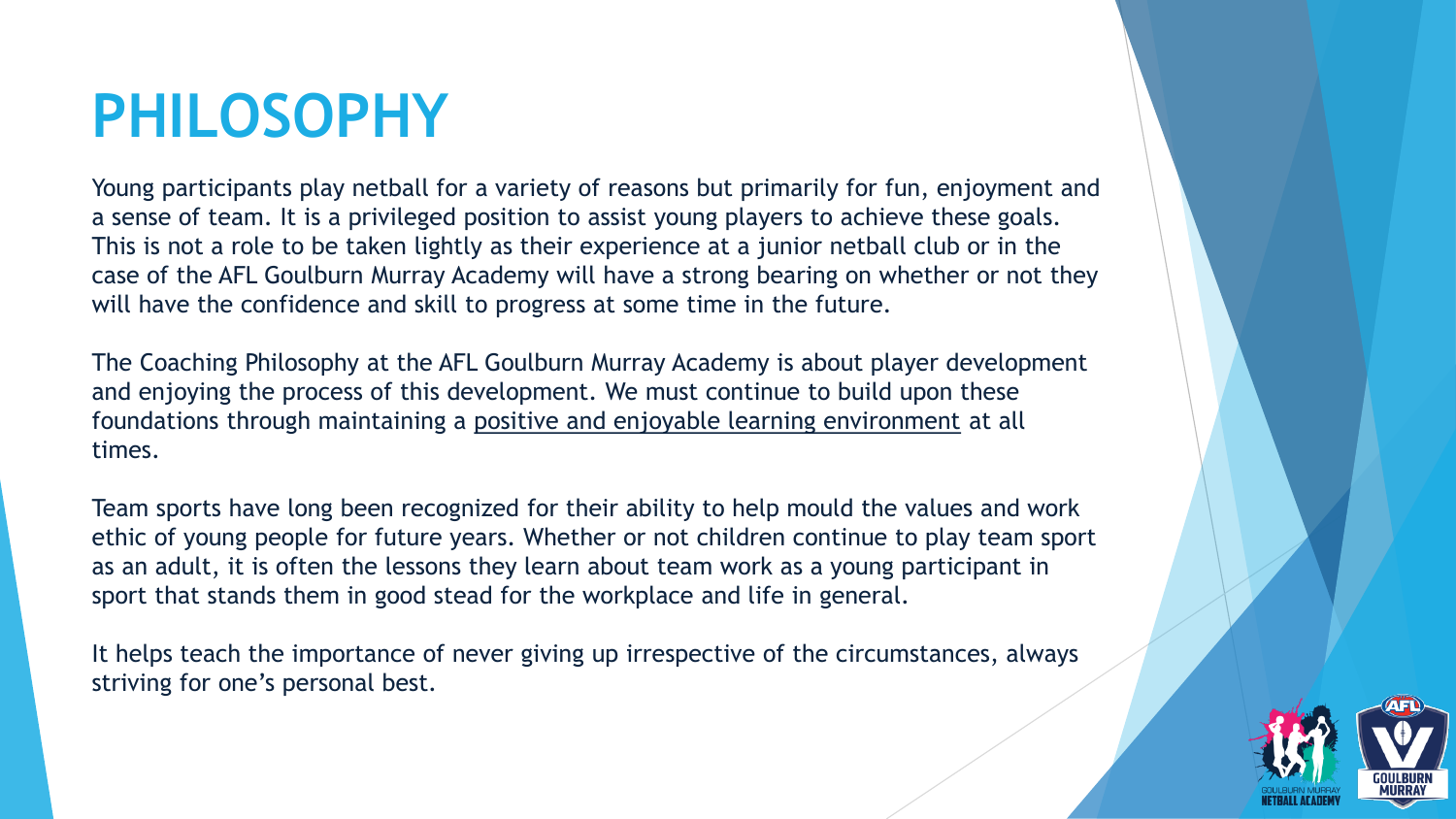### **PHILOSOPHY**

Young participants play netball for a variety of reasons but primarily for fun, enjoyment and a sense of team. It is a privileged position to assist young players to achieve these goals. This is not a role to be taken lightly as their experience at a junior netball club or in the case of the AFL Goulburn Murray Academy will have a strong bearing on whether or not they will have the confidence and skill to progress at some time in the future.

The Coaching Philosophy at the AFL Goulburn Murray Academy is about player development and enjoying the process of this development. We must continue to build upon these foundations through maintaining a positive and enjoyable learning environment at all times.

Team sports have long been recognized for their ability to help mould the values and work ethic of young people for future years. Whether or not children continue to play team sport as an adult, it is often the lessons they learn about team work as a young participant in sport that stands them in good stead for the workplace and life in general.

It helps teach the importance of never giving up irrespective of the circumstances, always striving for one's personal best.

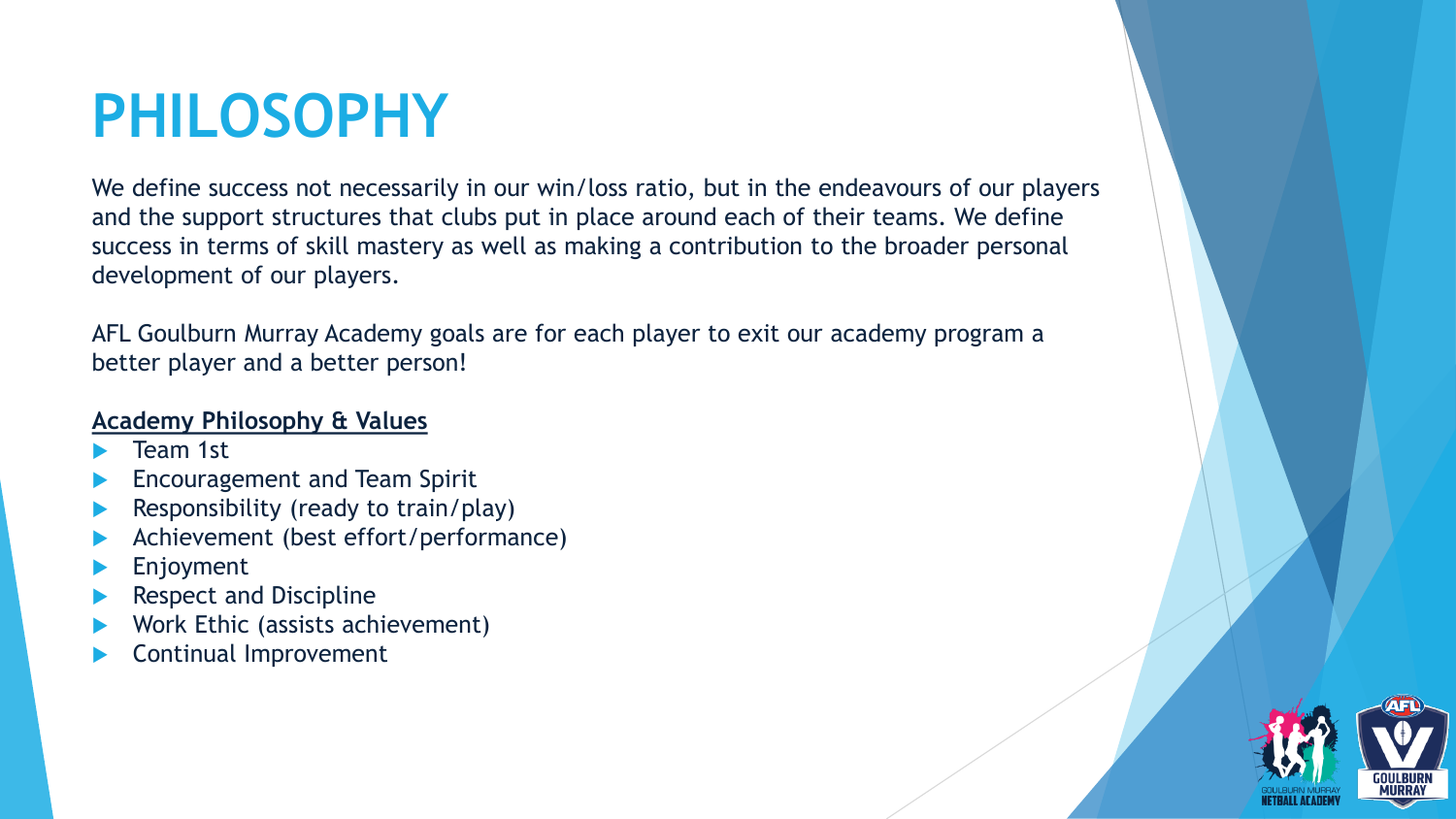### **PHILOSOPHY**

We define success not necessarily in our win/loss ratio, but in the endeavours of our players and the support structures that clubs put in place around each of their teams. We define success in terms of skill mastery as well as making a contribution to the broader personal development of our players.

AFL Goulburn Murray Academy goals are for each player to exit our academy program a better player and a better person!

#### **Academy Philosophy & Values**

- Team 1st
- Encouragement and Team Spirit
- Responsibility (ready to train/play)
- Achievement (best effort/performance)
- Enjoyment
- Respect and Discipline
- Work Ethic (assists achievement)
- Continual Improvement

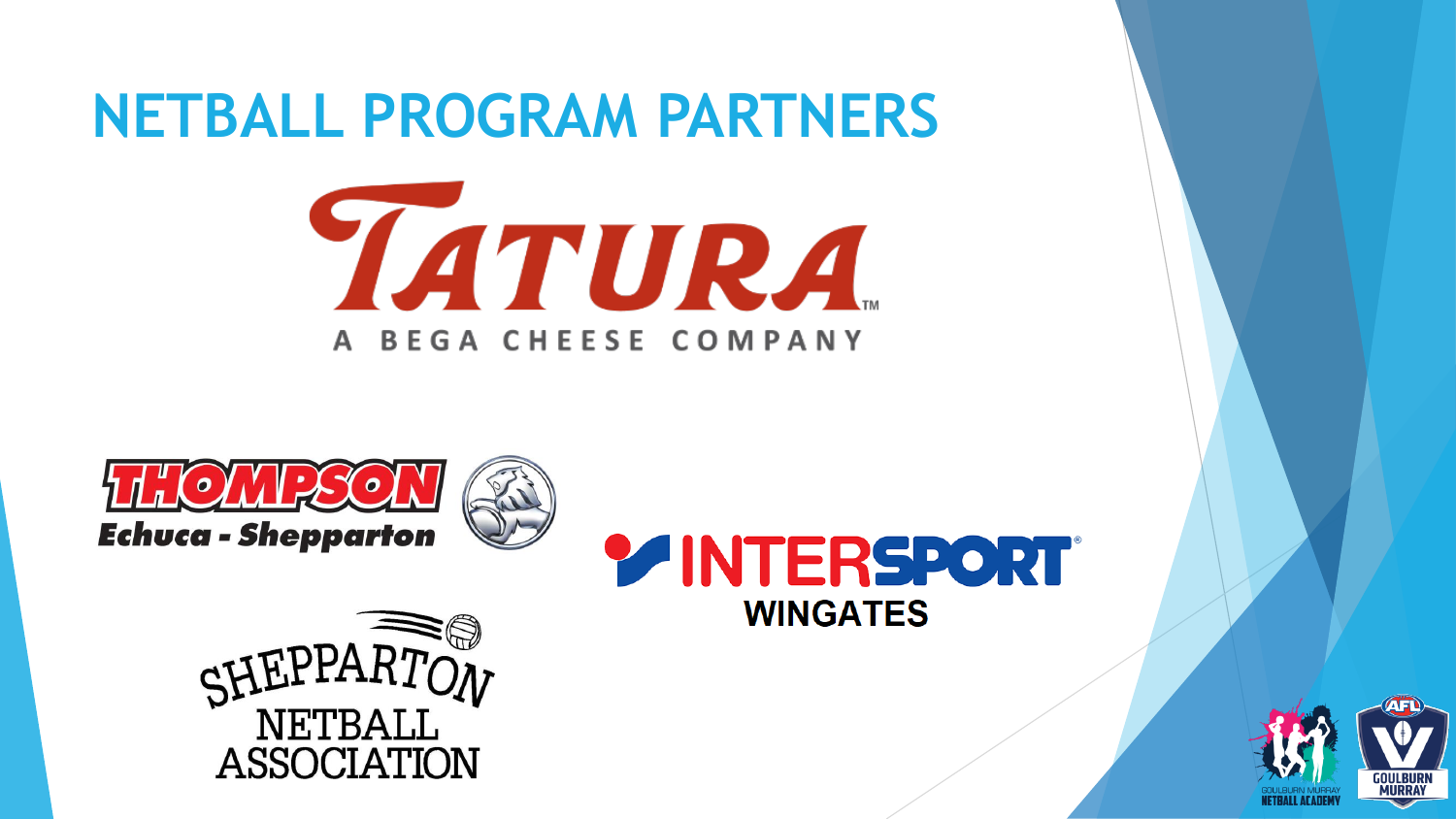### **NETBALL PROGRAM PARTNERS**